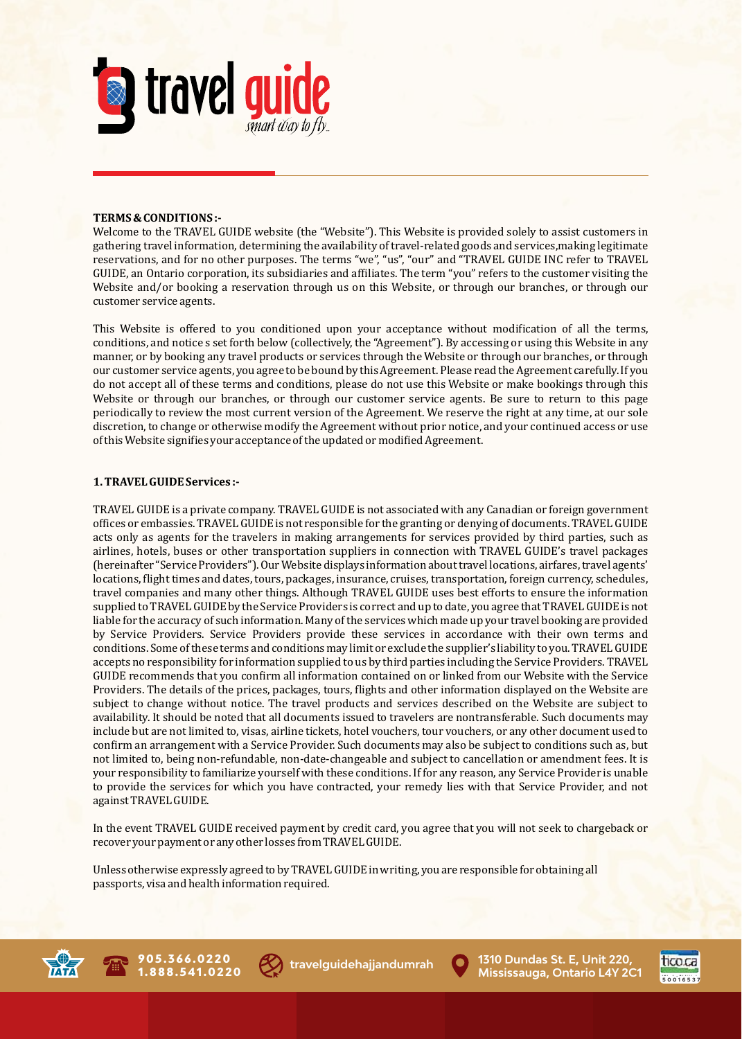

## **TERMS & CONDITIONS:-**

Welcome to the TRAVEL GUIDE website (the "Website"). This Website is provided solely to assist customers in gathering travel information, determining the availability of travel-related goods and services,making legitimate reservations, and for no other purposes. The terms "we", "us", "our" and "TRAVEL GUIDE INC refer to TRAVEL GUIDE, an Ontario corporation, its subsidiaries and affiliates. The term "you" refers to the customer visiting the Website and/or booking a reservation through us on this Website, or through our branches, or through our customer service agents.

This Website is offered to you conditioned upon your acceptance without modification of all the terms, conditions, and notice s set forth below (collectively, the "Agreement"). By accessing or using this Website in any manner, or by booking any travel products or services through the Website or through our branches, or through our customer service agents, you agree to be bound by this Agreement. Please read the Agreement carefully. If you do not accept all of these terms and conditions, please do not use this Website or make bookings through this Website or through our branches, or through our customer service agents. Be sure to return to this page periodically to review the most current version of the Agreement. We reserve the right at any time, at our sole discretion, to change or otherwise modify the Agreement without prior notice, and your continued access or use of this Website signifies your acceptance of the updated or modified Agreement.

### **1. TRAVEL GUIDE Services :-**

TRAVEL GUIDE is a private company. TRAVEL GUIDE is not associated with any Canadian or foreign government offices or embassies. TRAVEL GUIDE is not responsible for the granting or denying of documents. TRAVEL GUIDE acts only as agents for the travelers in making arrangements for services provided by third parties, such as airlines, hotels, buses or other transportation suppliers in connection with TRAVEL GUIDE's travel packages (hereinafter "Service Providers"). Our Website displays information about travel locations, airfares, travel agents' locations, flight times and dates, tours, packages, insurance, cruises, transportation, foreign currency, schedules, travel companies and many other things. Although TRAVEL GUIDE uses best efforts to ensure the information supplied to TRAVEL GUIDE by the Service Providers is correct and up to date, you agree that TRAVEL GUIDE is not liable for the accuracy of such information. Many of the services which made up your travel booking are provided by Service Providers. Service Providers provide these services in accordance with their own terms and conditions. Some of these terms and conditions may limit or exclude the supplier's liability to you. TRAVEL GUIDE accepts no responsibility for information supplied to us by third parties including the Service Providers. TRAVEL GUIDE recommends that you confirm all information contained on or linked from our Website with the Service Providers. The details of the prices, packages, tours, flights and other information displayed on the Website are subject to change without notice. The travel products and services described on the Website are subject to availability. It should be noted that all documents issued to travelers are nontransferable. Such documents may include but are not limited to, visas, airline tickets, hotel vouchers, tour vouchers, or any other document used to confirm an arrangement with a Service Provider. Such documents may also be subject to conditions such as, but not limited to, being non-refundable, non-date-changeable and subject to cancellation or amendment fees. It is your responsibility to familiarize yourself with these conditions. If for any reason, any Service Provider is unable to provide the services for which you have contracted, your remedy lies with that Service Provider, and not against TRAVEL GUIDE.

In the event TRAVEL GUIDE received payment by credit card, you agree that you will not seek to chargeback or recover your payment or any other losses from TRAVEL GUIDE.

Unless otherwise expressly agreed to by TRAVEL GUIDE in writing, you are responsible for obtaining all passports, visa and health information required.







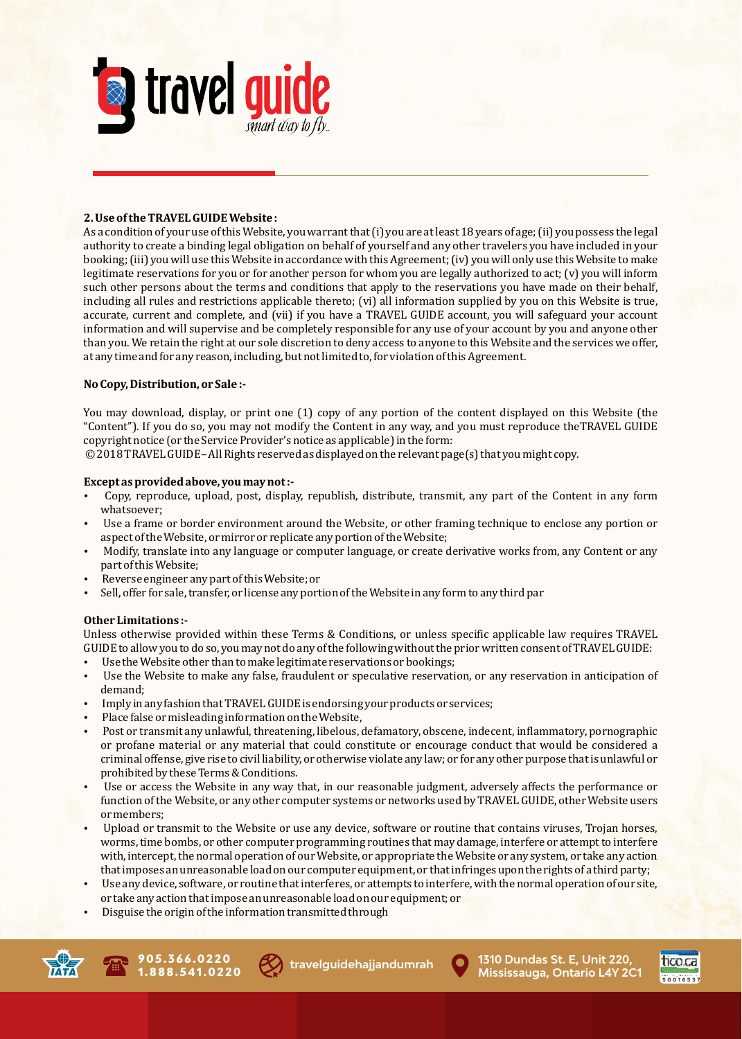

# **2. Use of the TRAVEL GUIDE Website :**

As a condition of your use of this Website, you warrant that (i) you are at least 18 years of age; (ii) you possess the legal authority to create a binding legal obligation on behalf of yourself and any other travelers you have included in your booking; (iii) you will use this Website in accordance with this Agreement; (iv) you will only use this Website to make  $l$ egitimate reservations for you or for another person for whom you are legally authorized to act;  $(v)$  you will inform such other persons about the terms and conditions that apply to the reservations you have made on their behalf, including all rules and restrictions applicable thereto;  $(vi)$  all information supplied by you on this Website is true, accurate, current and complete, and (vii) if you have a TRAVEL GUIDE account, you will safeguard your account information and will supervise and be completely responsible for any use of your account by you and anyone other than you. We retain the right at our sole discretion to deny access to anyone to this Website and the services we offer, at any time and for any reason, including, but not limited to, for violation of this Agreement.

## **No Copy, Distribution, or Sale :-**

You may download, display, or print one (1) copy of any portion of the content displayed on this Website (the "Content"). If you do so, you may not modify the Content in any way, and you must reproduce theTRAVEL GUIDE copyright notice (or the Service Provider's notice as applicable) in the form:

© 2018 TRAVEL GUIDE-All Rights reserved as displayed on the relevant page(s) that you might copy.

## Except as provided above, you may not :-

- Copy, reproduce, upload, post, display, republish, distribute, transmit, any part of the Content in any form whatsoever;
- Use a frame or border environment around the Website, or other framing technique to enclose any portion or aspect of the Website, or mirror or replicate any portion of the Website;
- Modify, translate into any language or computer language, or create derivative works from, any Content or any part of this Website;
- Reverse engineer any part of this Website; or
- Sell, offer for sale, transfer, or license any portion of the Website in any form to any third par

## **Other Limitations:-**

Unless otherwise provided within these Terms & Conditions, or unless specific applicable law requires TRAVEL GUIDE to allow you to do so, you may not do any of the following without the prior written consent of TRAVEL GUIDE:

- Use the Website other than to make legitimate reservations or bookings;
- Use the Website to make any false, fraudulent or speculative reservation, or any reservation in anticipation of demand;
- Imply in any fashion that TRAVEL GUIDE is endorsing your products or services;
- Place false or misleading information on the Website,
- Post or transmit any unlawful, threatening, libelous, defamatory, obscene, indecent, inflammatory, pornographic or profane material or any material that could constitute or encourage conduct that would be considered a criminal offense, give rise to civil liability, or otherwise violate any law; or for any other purpose that is unlawful or prohibited by these Terms & Conditions.
- Use or access the Website in any way that, in our reasonable judgment, adversely affects the performance or function of the Website, or any other computer systems or networks used by TRAVEL GUIDE, other Website users or members;
- Upload or transmit to the Website or use any device, software or routine that contains viruses, Trojan horses, worms, time bombs, or other computer programming routines that may damage, interfere or attempt to interfere with, intercept, the normal operation of our Website, or appropriate the Website or any system, or take any action that imposes an unreasonable load on our computer equipment, or that infringes upon the rights of a third party;
- Use any device, software, or routine that interferes, or attempts to interfere, with the normal operation of our site, or take any action that impose an unreasonable load on our equipment; or
- Disguise the origin of the information transmitted through





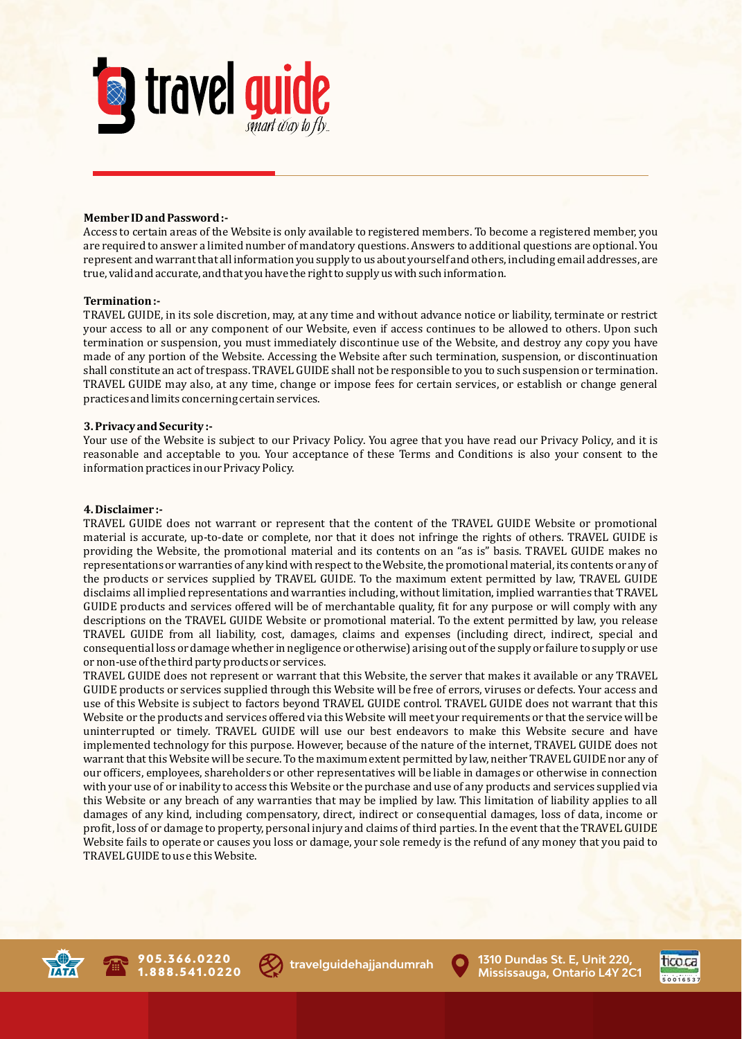

### **Member ID and Password:-**

Access to certain areas of the Website is only available to registered members. To become a registered member, you are required to answer a limited number of mandatory questions. Answers to additional questions are optional. You represent and warrant that all information you supply to us about yourself and others, including email addresses, are true, valid and accurate, and that you have the right to supply us with such information.

#### **Termination:-**

TRAVEL GUIDE, in its sole discretion, may, at any time and without advance notice or liability, terminate or restrict your access to all or any component of our Website, even if access continues to be allowed to others. Upon such termination or suspension, you must immediately discontinue use of the Website, and destroy any copy you have made of any portion of the Website. Accessing the Website after such termination, suspension, or discontinuation shall constitute an act of trespass. TRAVEL GUIDE shall not be responsible to you to such suspension or termination. TRAVEL GUIDE may also, at any time, change or impose fees for certain services, or establish or change general practices and limits concerning certain services.

### **3. Privacy and Security :-**

Your use of the Website is subject to our Privacy Policy. You agree that you have read our Privacy Policy, and it is reasonable and acceptable to you. Your acceptance of these Terms and Conditions is also your consent to the information practices in our Privacy Policy.

#### **4. Disclaimer :-**

TRAVEL GUIDE does not warrant or represent that the content of the TRAVEL GUIDE Website or promotional material is accurate, up-to-date or complete, nor that it does not infringe the rights of others. TRAVEL GUIDE is providing the Website, the promotional material and its contents on an "as is" basis. TRAVEL GUIDE makes no representations or warranties of any kind with respect to the Website, the promotional material, its contents or any of the products or services supplied by TRAVEL GUIDE. To the maximum extent permitted by law, TRAVEL GUIDE disclaims all implied representations and warranties including, without limitation, implied warranties that TRAVEL GUIDE products and services offered will be of merchantable quality, fit for any purpose or will comply with any descriptions on the TRAVEL GUIDE Website or promotional material. To the extent permitted by law, you release TRAVEL GUIDE from all liability, cost, damages, claims and expenses (including direct, indirect, special and consequential loss or damage whether in negligence or otherwise) arising out of the supply or failure to supply or use or non-use of the third party products or services.

TRAVEL GUIDE does not represent or warrant that this Website, the server that makes it available or any TRAVEL GUIDE products or services supplied through this Website will be free of errors, viruses or defects. Your access and use of this Website is subject to factors beyond TRAVEL GUIDE control. TRAVEL GUIDE does not warrant that this Website or the products and services offered via this Website will meet your requirements or that the service will be uninterrupted or timely. TRAVEL GUIDE will use our best endeavors to make this Website secure and have implemented technology for this purpose. However, because of the nature of the internet, TRAVEL GUIDE does not warrant that this Website will be secure. To the maximum extent permitted by law, neither TRAVEL GUIDE nor any of our officers, employees, shareholders or other representatives will be liable in damages or otherwise in connection with your use of or inability to access this Website or the purchase and use of any products and services supplied via this Website or any breach of any warranties that may be implied by law. This limitation of liability applies to all damages of any kind, including compensatory, direct, indirect or consequential damages, loss of data, income or profit, loss of or damage to property, personal injury and claims of third parties. In the event that the TRAVEL GUIDE Website fails to operate or causes you loss or damage, your sole remedy is the refund of any money that you paid to TRAVEL GUIDE to us e this Website.





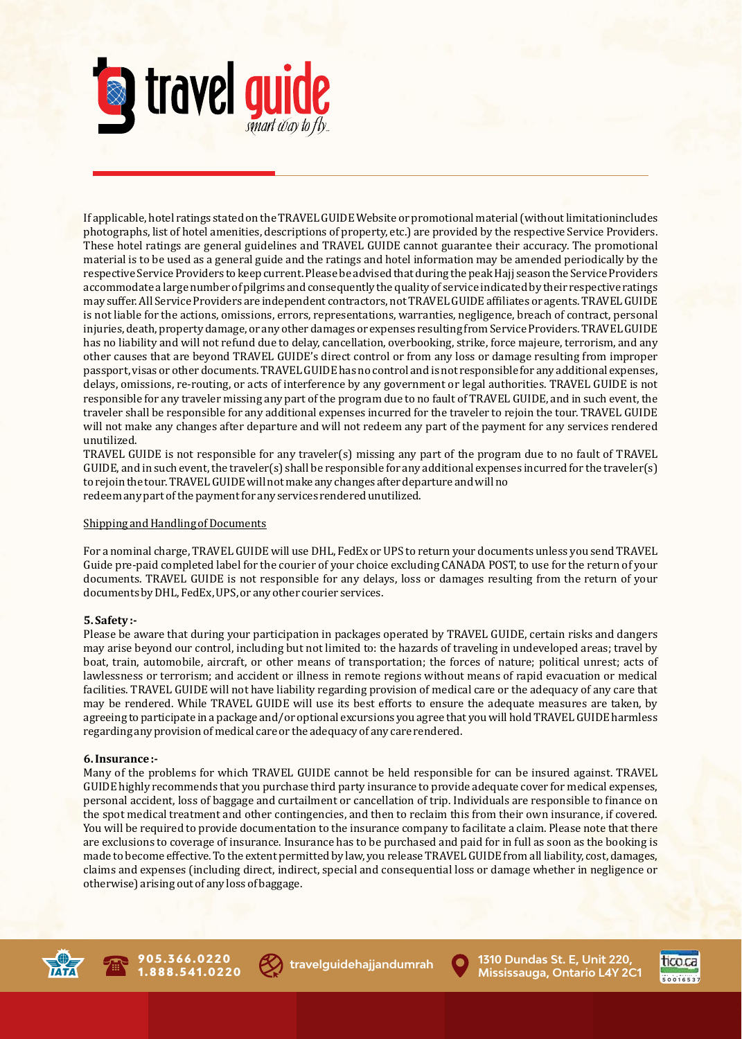

If applicable, hotel ratings stated on the TRAVEL GUIDE Website or promotional material (without limitationincludes photographs, list of hotel amenities, descriptions of property, etc.) are provided by the respective Service Providers. These hotel ratings are general guidelines and TRAVEL GUIDE cannot guarantee their accuracy. The promotional material is to be used as a general guide and the ratings and hotel information may be amended periodically by the respective Service Providers to keep current. Please be advised that during the peak Hajj season the Service Providers accommodate a large number of pilgrims and consequently the quality of service indicated by their respective ratings may suffer. All Service Providers are independent contractors, not TRAVEL GUIDE affiliates or agents. TRAVEL GUIDE is not liable for the actions, omissions, errors, representations, warranties, negligence, breach of contract, personal injuries, death, property damage, or any other damages or expenses resulting from Service Providers. TRAVEL GUIDE has no liability and will not refund due to delay, cancellation, overbooking, strike, force majeure, terrorism, and any other causes that are beyond TRAVEL GUIDE's direct control or from any loss or damage resulting from improper passport, visas or other documents. TRAVEL GUIDE has no control and is not responsible for any additional expenses, delays, omissions, re-routing, or acts of interference by any government or legal authorities. TRAVEL GUIDE is not responsible for any traveler missing any part of the program due to no fault of TRAVEL GUIDE, and in such event, the traveler shall be responsible for any additional expenses incurred for the traveler to rejoin the tour. TRAVEL GUIDE will not make any changes after departure and will not redeem any part of the payment for any services rendered unutilized.

TRAVEL GUIDE is not responsible for any traveler(s) missing any part of the program due to no fault of TRAVEL GUIDE, and in such event, the traveler(s) shall be responsible for any additional expenses incurred for the traveler(s) to rejoin the tour. TRAVEL GUIDE will not make any changes after departure and will no redeem any part of the payment for any services rendered unutilized.

## Shipping and Handling of Documents

For a nominal charge, TRAVEL GUIDE will use DHL, FedEx or UPS to return your documents unless you send TRAVEL Guide pre-paid completed label for the courier of your choice excluding CANADA POST, to use for the return of your documents. TRAVEL GUIDE is not responsible for any delays, loss or damages resulting from the return of your documents by DHL, FedEx, UPS, or any other courier services.

# **5.** Safety:-

Please be aware that during your participation in packages operated by TRAVEL GUIDE, certain risks and dangers may arise beyond our control, including but not limited to: the hazards of traveling in undeveloped areas; travel by boat, train, automobile, aircraft, or other means of transportation; the forces of nature; political unrest; acts of lawlessness or terrorism; and accident or illness in remote regions without means of rapid evacuation or medical facilities. TRAVEL GUIDE will not have liability regarding provision of medical care or the adequacy of any care that may be rendered. While TRAVEL GUIDE will use its best efforts to ensure the adequate measures are taken, by agreeing to participate in a package and/or optional excursions you agree that you will hold TRAVEL GUIDE harmless regarding any provision of medical care or the adequacy of any care rendered.

## **6. Insurance :-**

Many of the problems for which TRAVEL GUIDE cannot be held responsible for can be insured against. TRAVEL GUIDE highly recommends that you purchase third party insurance to provide adequate cover for medical expenses, personal accident, loss of baggage and curtailment or cancellation of trip. Individuals are responsible to finance on the spot medical treatment and other contingencies, and then to reclaim this from their own insurance, if covered. You will be required to provide documentation to the insurance company to facilitate a claim. Please note that there are exclusions to coverage of insurance. Insurance has to be purchased and paid for in full as soon as the booking is made to become effective. To the extent permitted by law, you release TRAVEL GUIDE from all liability, cost, damages, claims and expenses (including direct, indirect, special and consequential loss or damage whether in negligence or otherwise) arising out of any loss of baggage.





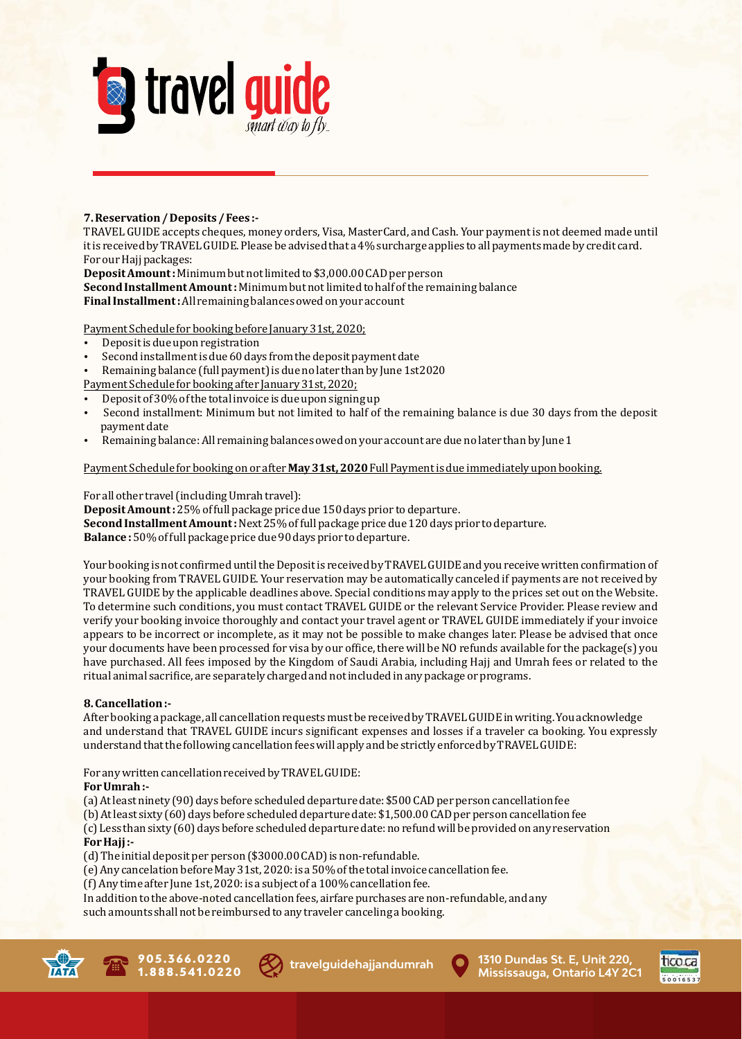

## **7. Reservation / Deposits / Fees :-**

TRAVEL GUIDE accepts cheques, money orders, Visa, MasterCard, and Cash. Your payment is not deemed made until it is received by TRAVEL GUIDE. Please be advised that a 4% surcharge applies to all payments made by credit card. For our Hajj packages:

**Deposit Amount:** Minimum but not limited to \$3,000.00 CAD per person **Second Installment Amount:** Minimum but not limited to half of the remaining balance **Final Installment:** All remaining balances owed on your account

Payment Schedule for booking before January 31st, 2020;

- Deposit is due upon registration
- Second installment is due 60 days from the deposit payment date
- Remaining balance (full payment) is due no later than by June 1st2020
- Payment Schedule for booking after January 31st, 2020;
- Deposit of 30% of the total invoice is due upon signing up
- Second installment: Minimum but not limited to half of the remaining balance is due 30 days from the deposit payment date
- Remaining balance: All remaining balances owed on your account are due no later than by June 1

## Payment Schedule for booking on or after **May 31st, 2020** Full Payment is due immediately upon booking.

For all other travel (including Umrah travel):

**Deposit Amount:** 25% of full package price due 150 days prior to departure. **Second Installment Amount:** Next 25% of full package price due 120 days prior to departure. Balance: 50% of full package price due 90 days prior to departure.

Your booking is not confirmed until the Deposit is received by TRAVEL GUIDE and you receive written confirmation of your booking from TRAVEL GUIDE. Your reservation may be automatically canceled if payments are not received by TRAVEL GUIDE by the applicable deadlines above. Special conditions may apply to the prices set out on the Website. To determine such conditions, you must contact TRAVEL GUIDE or the relevant Service Provider. Please review and verify your booking invoice thoroughly and contact your travel agent or TRAVEL GUIDE immediately if your invoice appears to be incorrect or incomplete, as it may not be possible to make changes later. Please be advised that once your documents have been processed for visa by our office, there will be NO refunds available for the package(s) you have purchased. All fees imposed by the Kingdom of Saudi Arabia, including Hajj and Umrah fees or related to the ritual animal sacrifice, are separately charged and not included in any package or programs.

# **8. Cancellation :-**

After booking a package, all cancellation requests must be received by TRAVEL GUIDE in writing. You acknowledge and understand that TRAVEL GUIDE incurs significant expenses and losses if a traveler ca booking. You expressly understand that the following cancellation fees will apply and be strictly enforced by TRAVEL GUIDE:

For any written cancellation received by TRAVEL GUIDE:

# **For Umrah:-**

(a) At least ninety (90) days before scheduled departure date: \$500 CAD per person cancellation fee

(b) At least sixty (60) days before scheduled departure date: \$1,500.00 CAD per person cancellation fee

(c) Less than sixty (60) days before scheduled departure date: no refund will be provided on any reservation **For Hajj:-**

(d) The initial deposit per person (\$3000.00 CAD) is non-refundable.

(e) Any cancelation before May 31st, 2020: is a 50% of the total invoice cancellation fee.

(f) Any time after June 1st, 2020: is a subject of a 100% cancellation fee.

In addition to the above-noted cancellation fees, airfare purchases are non-refundable, and any

such amounts shall not be reimbursed to any traveler canceling a booking.





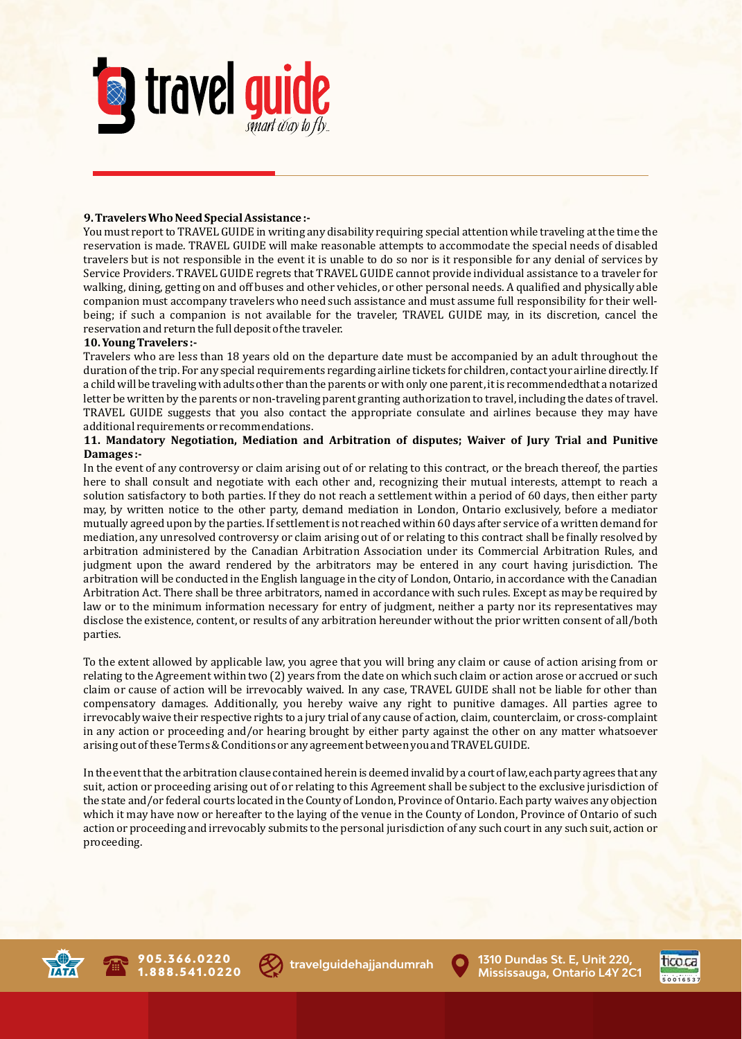

## **9. Travelers Who Need Special Assistance :-**

You must report to TRAVEL GUIDE in writing any disability requiring special attention while traveling at the time the reservation is made. TRAVEL GUIDE will make reasonable attempts to accommodate the special needs of disabled travelers but is not responsible in the event it is unable to do so nor is it responsible for any denial of services by Service Providers. TRAVEL GUIDE regrets that TRAVEL GUIDE cannot provide individual assistance to a traveler for walking, dining, getting on and off buses and other vehicles, or other personal needs. A qualified and physically able companion must accompany travelers who need such assistance and must assume full responsibility for their wellbeing; if such a companion is not available for the traveler, TRAVEL GUIDE may, in its discretion, cancel the reservation and return the full deposit of the traveler.

### **10. Young Travelers :-**

Travelers who are less than 18 years old on the departure date must be accompanied by an adult throughout the duration of the trip. For any special requirements regarding airline tickets for children, contact your airline directly. If a child will be traveling with adults other than the parents or with only one parent, it is recommendedthat a notarized letter be written by the parents or non-traveling parent granting authorization to travel, including the dates of travel. TRAVEL GUIDE suggests that you also contact the appropriate consulate and airlines because they may have additional requirements or recommendations.

## **11. Mandatory Negotiation, Mediation and Arbitration of disputes; Waiver of Jury Trial and Punitive Damages:-**

In the event of any controversy or claim arising out of or relating to this contract, or the breach thereof, the parties here to shall consult and negotiate with each other and, recognizing their mutual interests, attempt to reach a solution satisfactory to both parties. If they do not reach a settlement within a period of 60 days, then either party may, by written notice to the other party, demand mediation in London, Ontario exclusively, before a mediator mutually agreed upon by the parties. If settlement is not reached within 60 days after service of a written demand for mediation, any unresolved controversy or claim arising out of or relating to this contract shall be finally resolved by arbitration administered by the Canadian Arbitration Association under its Commercial Arbitration Rules, and judgment upon the award rendered by the arbitrators may be entered in any court having jurisdiction. The arbitration will be conducted in the English language in the city of London, Ontario, in accordance with the Canadian Arbitration Act. There shall be three arbitrators, named in accordance with such rules. Except as may be required by law or to the minimum information necessary for entry of judgment, neither a party nor its representatives may disclose the existence, content, or results of any arbitration hereunder without the prior written consent of all/both parties.

To the extent allowed by applicable law, you agree that you will bring any claim or cause of action arising from or relating to the Agreement within two (2) years from the date on which such claim or action arose or accrued or such claim or cause of action will be irrevocably waived. In any case, TRAVEL GUIDE shall not be liable for other than compensatory damages. Additionally, you hereby waive any right to punitive damages. All parties agree to irrevocably waive their respective rights to a jury trial of any cause of action, claim, counterclaim, or cross-complaint in any action or proceeding and/or hearing brought by either party against the other on any matter whatsoever arising out of these Terms & Conditions or any agreement between you and TRAVEL GUIDE.

In the event that the arbitration clause contained herein is deemed invalid by a court of law, each party agrees that any suit, action or proceeding arising out of or relating to this Agreement shall be subject to the exclusive jurisdiction of the state and/or federal courts located in the County of London, Province of Ontario. Each party waives any objection which it may have now or hereafter to the laying of the venue in the County of London, Province of Ontario of such action or proceeding and irrevocably submits to the personal jurisdiction of any such court in any such suit, action or proceeding.